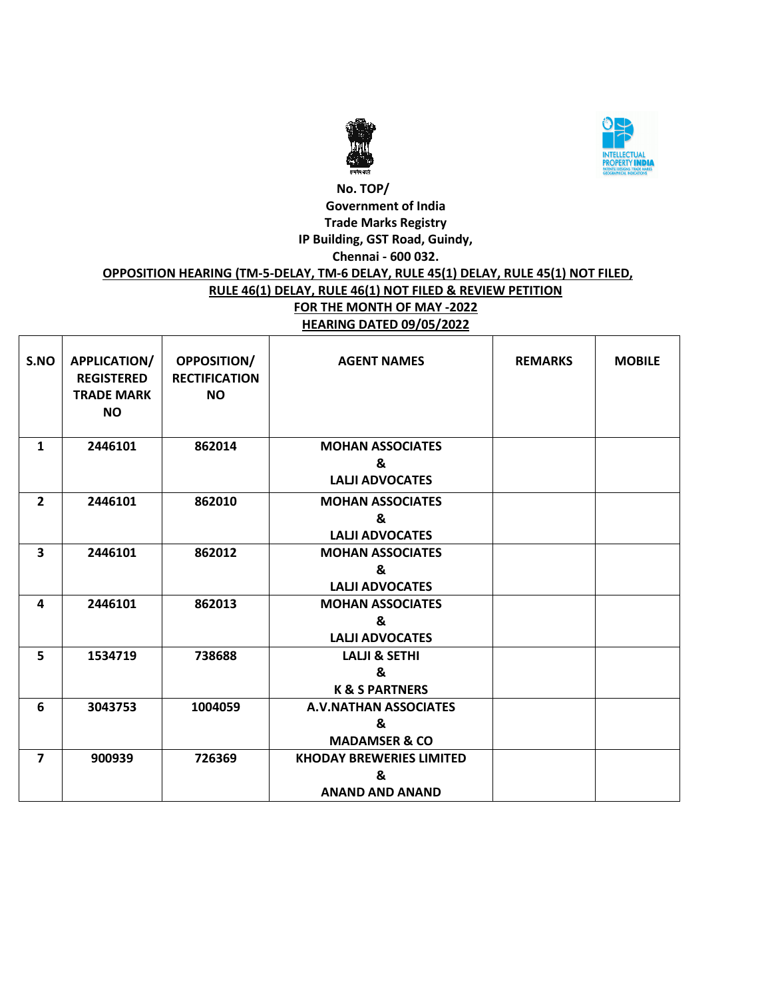



### **No. TOP/ Government of India Trade Marks Registry IP Building, GST Road, Guindy, Chennai - 600 032. OPPOSITION HEARING (TM-5-DELAY, TM-6 DELAY, RULE 45(1) DELAY, RULE 45(1) NOT FILED, RULE 46(1) DELAY, RULE 46(1) NOT FILED & REVIEW PETITION FOR THE MONTH OF MAY -2022 HEARING DATED 09/05/2022**

| S.NO                    | APPLICATION/<br><b>REGISTERED</b><br><b>TRADE MARK</b><br><b>NO</b> | OPPOSITION/<br><b>RECTIFICATION</b><br><b>NO</b> | <b>AGENT NAMES</b>                                             | <b>REMARKS</b> | <b>MOBILE</b> |
|-------------------------|---------------------------------------------------------------------|--------------------------------------------------|----------------------------------------------------------------|----------------|---------------|
| $\mathbf{1}$            | 2446101                                                             | 862014                                           | <b>MOHAN ASSOCIATES</b><br>&<br><b>LALII ADVOCATES</b>         |                |               |
| $\overline{2}$          | 2446101                                                             | 862010                                           | <b>MOHAN ASSOCIATES</b><br>&<br><b>LALII ADVOCATES</b>         |                |               |
| $\overline{\mathbf{3}}$ | 2446101                                                             | 862012                                           | <b>MOHAN ASSOCIATES</b><br>&<br><b>LALJI ADVOCATES</b>         |                |               |
| 4                       | 2446101                                                             | 862013                                           | <b>MOHAN ASSOCIATES</b><br>&<br><b>LALII ADVOCATES</b>         |                |               |
| 5                       | 1534719                                                             | 738688                                           | <b>LALJI &amp; SETHI</b><br>&<br><b>K &amp; S PARTNERS</b>     |                |               |
| 6                       | 3043753                                                             | 1004059                                          | <b>A.V.NATHAN ASSOCIATES</b><br>&<br><b>MADAMSER &amp; CO</b>  |                |               |
| $\overline{7}$          | 900939                                                              | 726369                                           | <b>KHODAY BREWERIES LIMITED</b><br>&<br><b>ANAND AND ANAND</b> |                |               |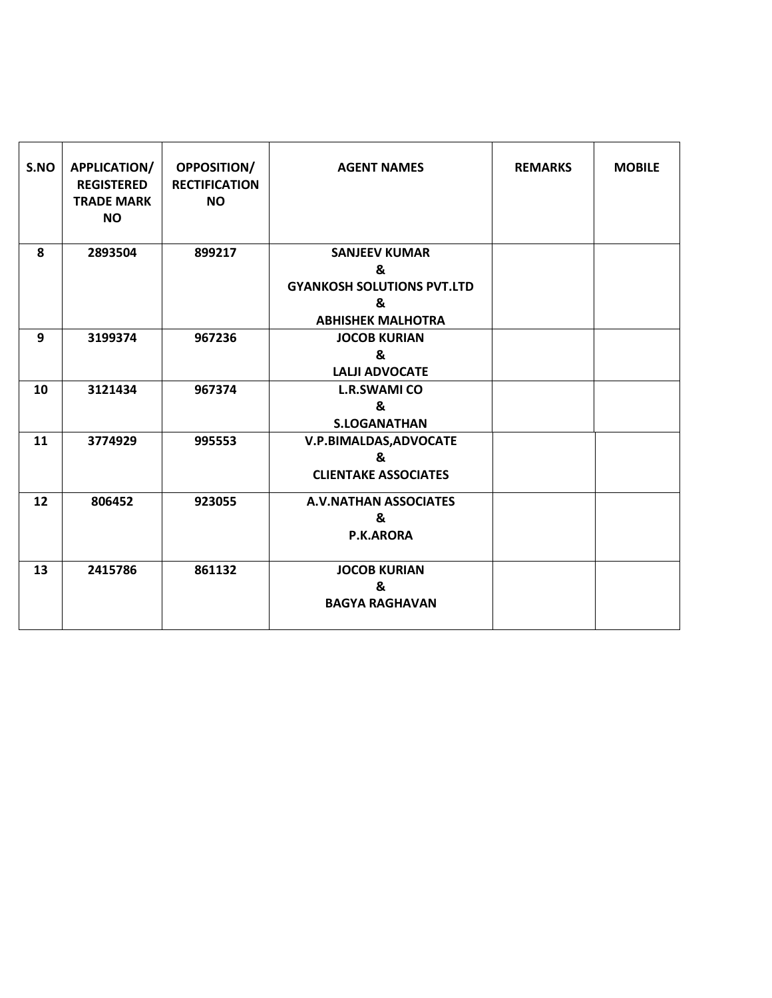| S.NO | <b>APPLICATION/</b><br><b>REGISTERED</b><br><b>TRADE MARK</b><br><b>NO</b> | <b>OPPOSITION/</b><br><b>RECTIFICATION</b><br><b>NO</b> | <b>AGENT NAMES</b>                                                                              | <b>REMARKS</b> | <b>MOBILE</b> |
|------|----------------------------------------------------------------------------|---------------------------------------------------------|-------------------------------------------------------------------------------------------------|----------------|---------------|
| 8    | 2893504                                                                    | 899217                                                  | <b>SANJEEV KUMAR</b><br>&<br><b>GYANKOSH SOLUTIONS PVT.LTD</b><br>ጼ<br><b>ABHISHEK MALHOTRA</b> |                |               |
| 9    | 3199374                                                                    | 967236                                                  | <b>JOCOB KURIAN</b><br>&<br><b>LALJI ADVOCATE</b>                                               |                |               |
| 10   | 3121434                                                                    | 967374                                                  | <b>L.R.SWAMI CO</b><br>&<br><b>S.LOGANATHAN</b>                                                 |                |               |
| 11   | 3774929                                                                    | 995553                                                  | V.P.BIMALDAS, ADVOCATE<br>&<br><b>CLIENTAKE ASSOCIATES</b>                                      |                |               |
| 12   | 806452                                                                     | 923055                                                  | <b>A.V.NATHAN ASSOCIATES</b><br>&<br>P.K.ARORA                                                  |                |               |
| 13   | 2415786                                                                    | 861132                                                  | <b>JOCOB KURIAN</b><br>&<br><b>BAGYA RAGHAVAN</b>                                               |                |               |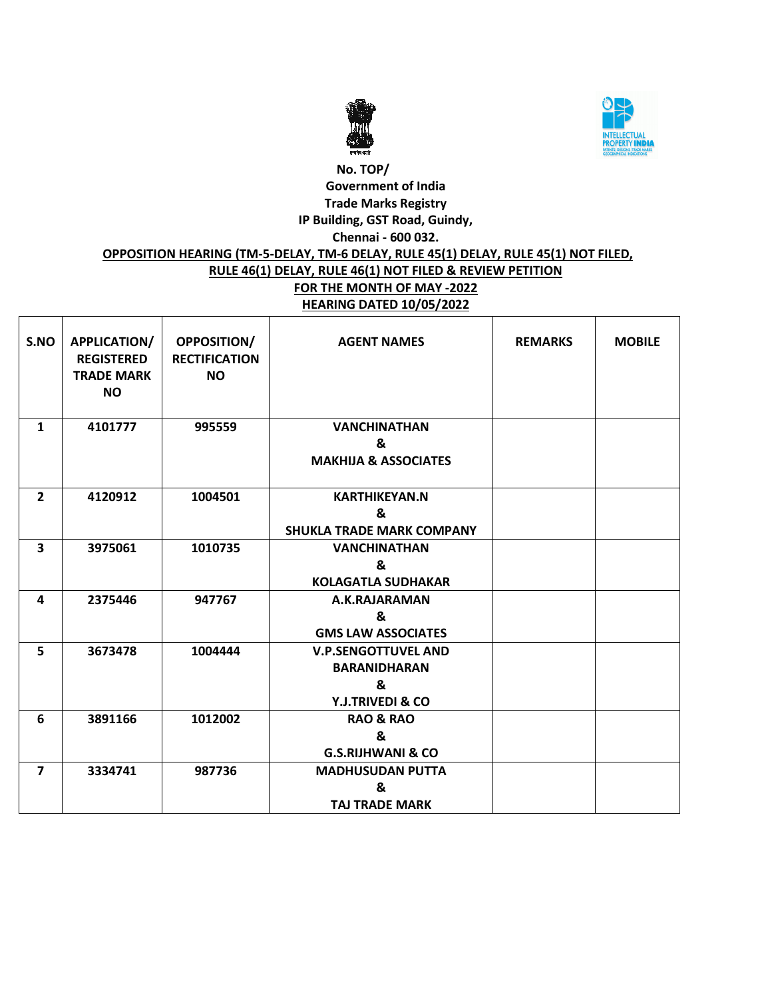



# **No. TOP/ Government of India Trade Marks Registry IP Building, GST Road, Guindy, Chennai - 600 032. OPPOSITION HEARING (TM-5-DELAY, TM-6 DELAY, RULE 45(1) DELAY, RULE 45(1) NOT FILED, RULE 46(1) DELAY, RULE 46(1) NOT FILED & REVIEW PETITION FOR THE MONTH OF MAY -2022 HEARING DATED 10/05/2022**

| S.NO           | <b>APPLICATION/</b><br><b>REGISTERED</b><br><b>TRADE MARK</b><br><b>NO</b> | <b>OPPOSITION/</b><br><b>RECTIFICATION</b><br><b>NO</b> | <b>AGENT NAMES</b>                                                         | <b>REMARKS</b> | <b>MOBILE</b> |
|----------------|----------------------------------------------------------------------------|---------------------------------------------------------|----------------------------------------------------------------------------|----------------|---------------|
| $\mathbf{1}$   | 4101777                                                                    | 995559                                                  | <b>VANCHINATHAN</b><br>&<br><b>MAKHIJA &amp; ASSOCIATES</b>                |                |               |
| $\overline{2}$ | 4120912                                                                    | 1004501                                                 | <b>KARTHIKEYAN.N</b><br>&<br><b>SHUKLA TRADE MARK COMPANY</b>              |                |               |
| 3              | 3975061                                                                    | 1010735                                                 | <b>VANCHINATHAN</b><br>&<br><b>KOLAGATLA SUDHAKAR</b>                      |                |               |
| 4              | 2375446                                                                    | 947767                                                  | A.K.RAJARAMAN<br>&<br><b>GMS LAW ASSOCIATES</b>                            |                |               |
| 5              | 3673478                                                                    | 1004444                                                 | <b>V.P.SENGOTTUVEL AND</b><br><b>BARANIDHARAN</b><br>&<br>Y.J.TRIVEDI & CO |                |               |
| 6              | 3891166                                                                    | 1012002                                                 | <b>RAO &amp; RAO</b><br>&<br><b>G.S.RIJHWANI &amp; CO</b>                  |                |               |
| $\overline{7}$ | 3334741                                                                    | 987736                                                  | <b>MADHUSUDAN PUTTA</b><br>&<br><b>TAJ TRADE MARK</b>                      |                |               |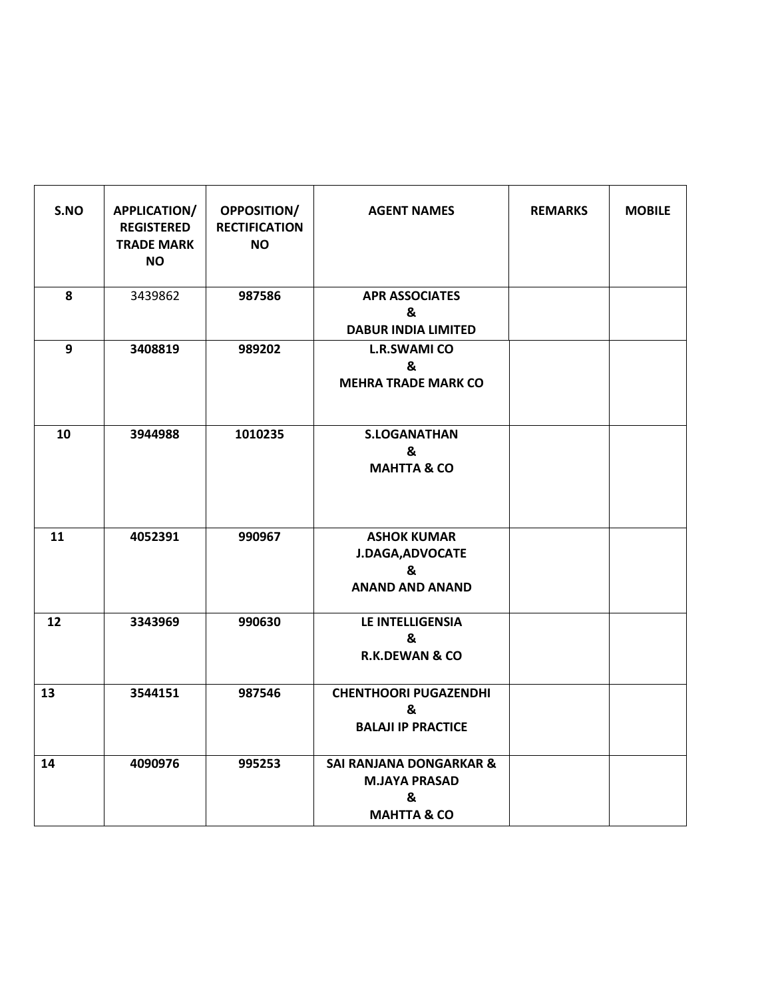| S.NO             | <b>APPLICATION/</b><br><b>REGISTERED</b><br><b>TRADE MARK</b><br><b>NO</b> | <b>OPPOSITION/</b><br><b>RECTIFICATION</b><br><b>NO</b> | <b>AGENT NAMES</b>                                                                        | <b>REMARKS</b> | <b>MOBILE</b> |
|------------------|----------------------------------------------------------------------------|---------------------------------------------------------|-------------------------------------------------------------------------------------------|----------------|---------------|
| 8                | 3439862                                                                    | 987586                                                  | <b>APR ASSOCIATES</b><br>&<br><b>DABUR INDIA LIMITED</b>                                  |                |               |
| $\boldsymbol{9}$ | 3408819                                                                    | 989202                                                  | <b>L.R.SWAMI CO</b><br>&<br><b>MEHRA TRADE MARK CO</b>                                    |                |               |
| 10               | 3944988                                                                    | 1010235                                                 | <b>S.LOGANATHAN</b><br>&<br><b>MAHTTA &amp; CO</b>                                        |                |               |
| 11               | 4052391                                                                    | 990967                                                  | <b>ASHOK KUMAR</b><br><b>J.DAGA, ADVOCATE</b><br>&<br><b>ANAND AND ANAND</b>              |                |               |
| 12               | 3343969                                                                    | 990630                                                  | LE INTELLIGENSIA<br>&<br><b>R.K.DEWAN &amp; CO</b>                                        |                |               |
| 13               | 3544151                                                                    | 987546                                                  | <b>CHENTHOORI PUGAZENDHI</b><br>&<br><b>BALAJI IP PRACTICE</b>                            |                |               |
| 14               | 4090976                                                                    | 995253                                                  | <b>SAI RANJANA DONGARKAR &amp;</b><br><b>M.JAYA PRASAD</b><br>&<br><b>MAHTTA &amp; CO</b> |                |               |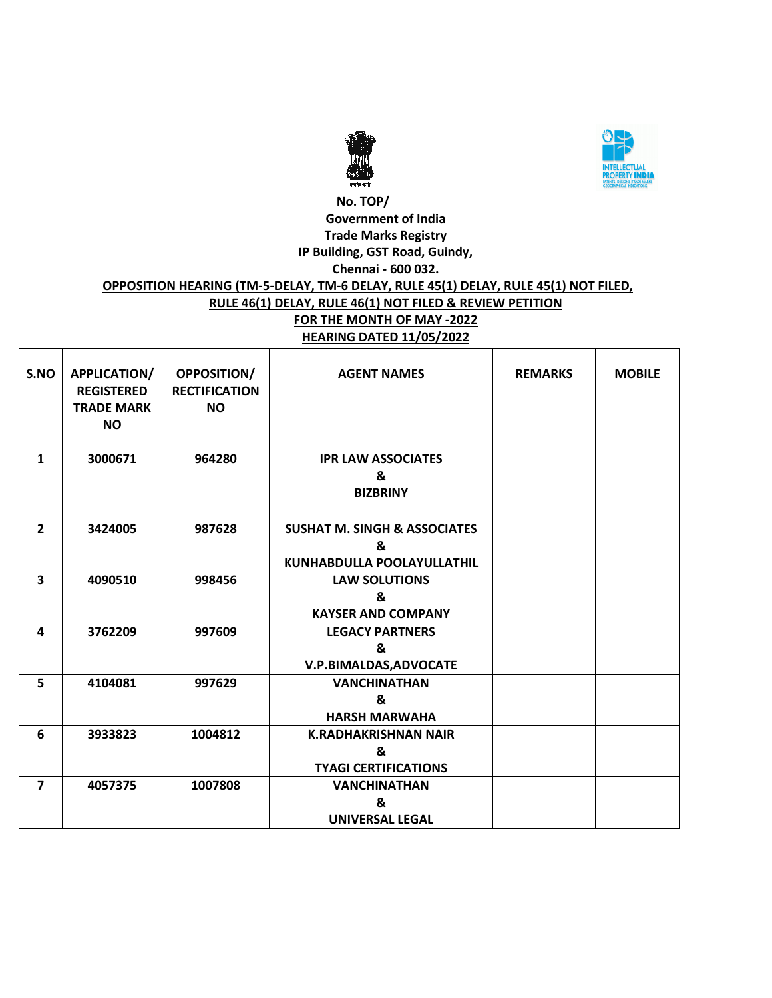



### **No. TOP/ Government of India Trade Marks Registry IP Building, GST Road, Guindy, Chennai - 600 032. OPPOSITION HEARING (TM-5-DELAY, TM-6 DELAY, RULE 45(1) DELAY, RULE 45(1) NOT FILED, RULE 46(1) DELAY, RULE 46(1) NOT FILED & REVIEW PETITION FOR THE MONTH OF MAY -2022 HEARING DATED 11/05/2022**

| S.NO           | APPLICATION/<br><b>REGISTERED</b><br><b>TRADE MARK</b><br><b>NO</b> | <b>OPPOSITION/</b><br><b>RECTIFICATION</b><br><b>NO</b> | <b>AGENT NAMES</b>                                                         | <b>REMARKS</b> | <b>MOBILE</b> |
|----------------|---------------------------------------------------------------------|---------------------------------------------------------|----------------------------------------------------------------------------|----------------|---------------|
| $\mathbf{1}$   | 3000671                                                             | 964280                                                  | <b>IPR LAW ASSOCIATES</b><br>&<br><b>BIZBRINY</b>                          |                |               |
| $\overline{2}$ | 3424005                                                             | 987628                                                  | <b>SUSHAT M. SINGH &amp; ASSOCIATES</b><br>&<br>KUNHABDULLA POOLAYULLATHIL |                |               |
| 3              | 4090510                                                             | 998456                                                  | <b>LAW SOLUTIONS</b><br>&<br><b>KAYSER AND COMPANY</b>                     |                |               |
| 4              | 3762209                                                             | 997609                                                  | <b>LEGACY PARTNERS</b><br>&<br>V.P.BIMALDAS, ADVOCATE                      |                |               |
| 5              | 4104081                                                             | 997629                                                  | <b>VANCHINATHAN</b><br>&<br><b>HARSH MARWAHA</b>                           |                |               |
| 6              | 3933823                                                             | 1004812                                                 | <b>K.RADHAKRISHNAN NAIR</b><br>&<br><b>TYAGI CERTIFICATIONS</b>            |                |               |
| $\overline{7}$ | 4057375                                                             | 1007808                                                 | <b>VANCHINATHAN</b><br>&<br><b>UNIVERSAL LEGAL</b>                         |                |               |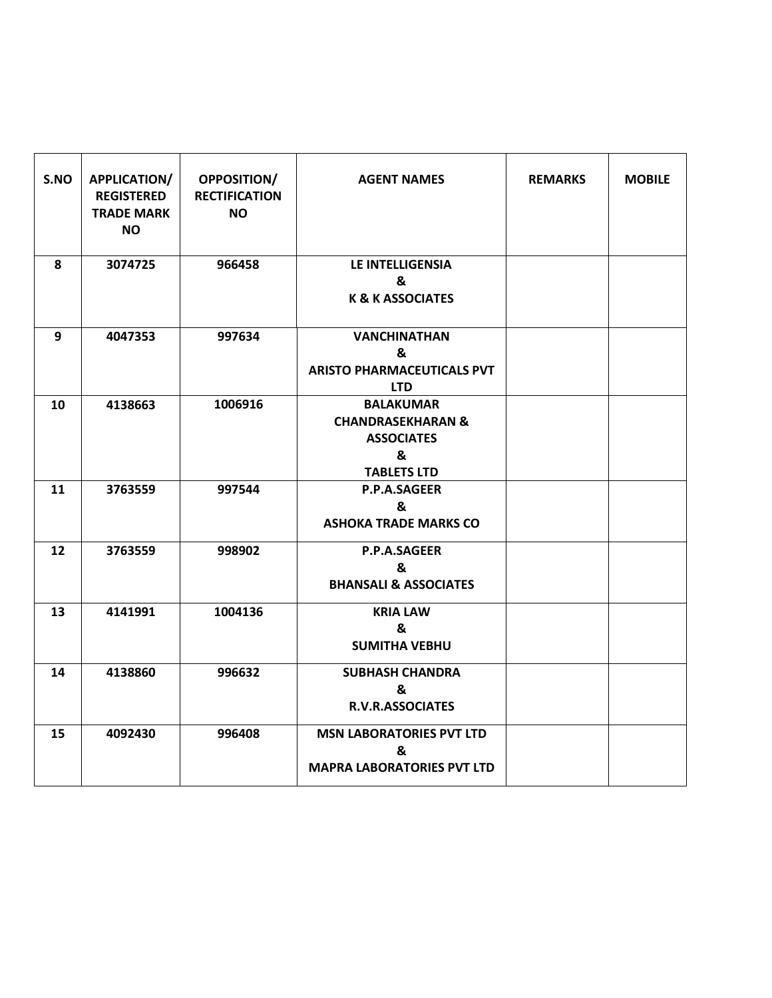| S.NO | <b>APPLICATION/</b><br><b>REGISTERED</b><br><b>TRADE MARK</b><br>NO. | OPPOSITION/<br><b>RECTIFICATION</b><br><b>NO</b> | <b>AGENT NAMES</b>                                                                               | <b>REMARKS</b> | <b>MOBILE</b> |
|------|----------------------------------------------------------------------|--------------------------------------------------|--------------------------------------------------------------------------------------------------|----------------|---------------|
| 8    | 3074725                                                              | 966458                                           | LE INTELLIGENSIA<br>&<br><b>K &amp; K ASSOCIATES</b>                                             |                |               |
| 9    | 4047353                                                              | 997634                                           | <b>VANCHINATHAN</b><br>&<br><b>ARISTO PHARMACEUTICALS PVT</b><br><b>LTD</b>                      |                |               |
| 10   | 4138663                                                              | 1006916                                          | <b>BALAKUMAR</b><br><b>CHANDRASEKHARAN &amp;</b><br><b>ASSOCIATES</b><br>&<br><b>TABLETS LTD</b> |                |               |
| 11   | 3763559                                                              | 997544                                           | P.P.A.SAGEER<br>&<br><b>ASHOKA TRADE MARKS CO</b>                                                |                |               |
| 12   | 3763559                                                              | 998902                                           | P.P.A.SAGEER<br>&<br><b>BHANSALI &amp; ASSOCIATES</b>                                            |                |               |
| 13   | 4141991                                                              | 1004136                                          | <b>KRIA LAW</b><br>&<br><b>SUMITHA VEBHU</b>                                                     |                |               |
| 14   | 4138860                                                              | 996632                                           | <b>SUBHASH CHANDRA</b><br>&<br><b>R.V.R.ASSOCIATES</b>                                           |                |               |
| 15   | 4092430                                                              | 996408                                           | <b>MSN LABORATORIES PVT LTD</b><br>&<br><b>MAPRA LABORATORIES PVT LTD</b>                        |                |               |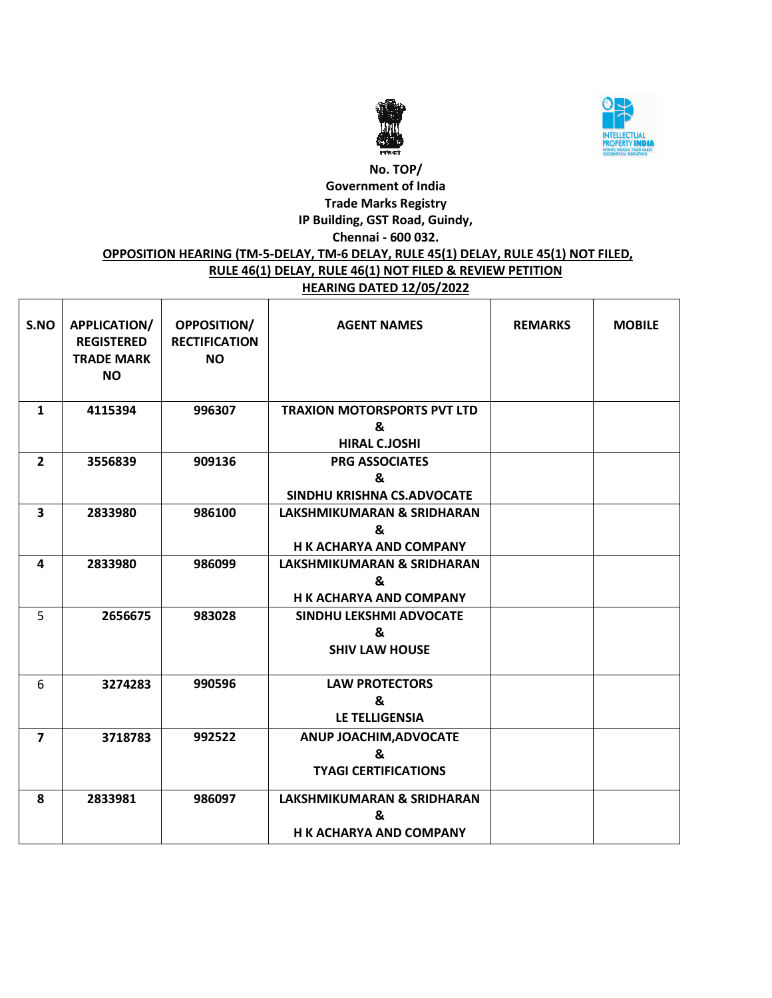



# **No. TOP/ Government of India Trade Marks Registry IP Building, GST Road, Guindy, Chennai - 600 032.**

#### **OPPOSITION HEARING (TM-5-DELAY, TM-6 DELAY, RULE 45(1) DELAY, RULE 45(1) NOT FILED, RULE 46(1) DELAY, RULE 46(1) NOT FILED & REVIEW PETITION HEARING DATED 12/05/2022**

| S.NO                    | <b>APPLICATION/</b><br><b>REGISTERED</b><br><b>TRADE MARK</b><br><b>NO</b> | <b>OPPOSITION/</b><br><b>RECTIFICATION</b><br><b>NO</b> | <b>AGENT NAMES</b>                                                           | <b>REMARKS</b> | <b>MOBILE</b> |
|-------------------------|----------------------------------------------------------------------------|---------------------------------------------------------|------------------------------------------------------------------------------|----------------|---------------|
| $\mathbf{1}$            | 4115394                                                                    | 996307                                                  | <b>TRAXION MOTORSPORTS PVT LTD</b><br>&<br><b>HIRAL C.JOSHI</b>              |                |               |
| $\overline{2}$          | 3556839                                                                    | 909136                                                  | <b>PRG ASSOCIATES</b><br>&<br>SINDHU KRISHNA CS.ADVOCATE                     |                |               |
| $\overline{\mathbf{3}}$ | 2833980                                                                    | 986100                                                  | <b>LAKSHMIKUMARAN &amp; SRIDHARAN</b><br>&<br><b>H K ACHARYA AND COMPANY</b> |                |               |
| 4                       | 2833980                                                                    | 986099                                                  | <b>LAKSHMIKUMARAN &amp; SRIDHARAN</b><br>&<br><b>H K ACHARYA AND COMPANY</b> |                |               |
| 5                       | 2656675                                                                    | 983028                                                  | SINDHU LEKSHMI ADVOCATE<br>&<br><b>SHIV LAW HOUSE</b>                        |                |               |
| 6                       | 3274283                                                                    | 990596                                                  | <b>LAW PROTECTORS</b><br>&<br><b>LE TELLIGENSIA</b>                          |                |               |
| $\overline{7}$          | 3718783                                                                    | 992522                                                  | ANUP JOACHIM, ADVOCATE<br>&<br><b>TYAGI CERTIFICATIONS</b>                   |                |               |
| 8                       | 2833981                                                                    | 986097                                                  | <b>LAKSHMIKUMARAN &amp; SRIDHARAN</b><br>&<br><b>H K ACHARYA AND COMPANY</b> |                |               |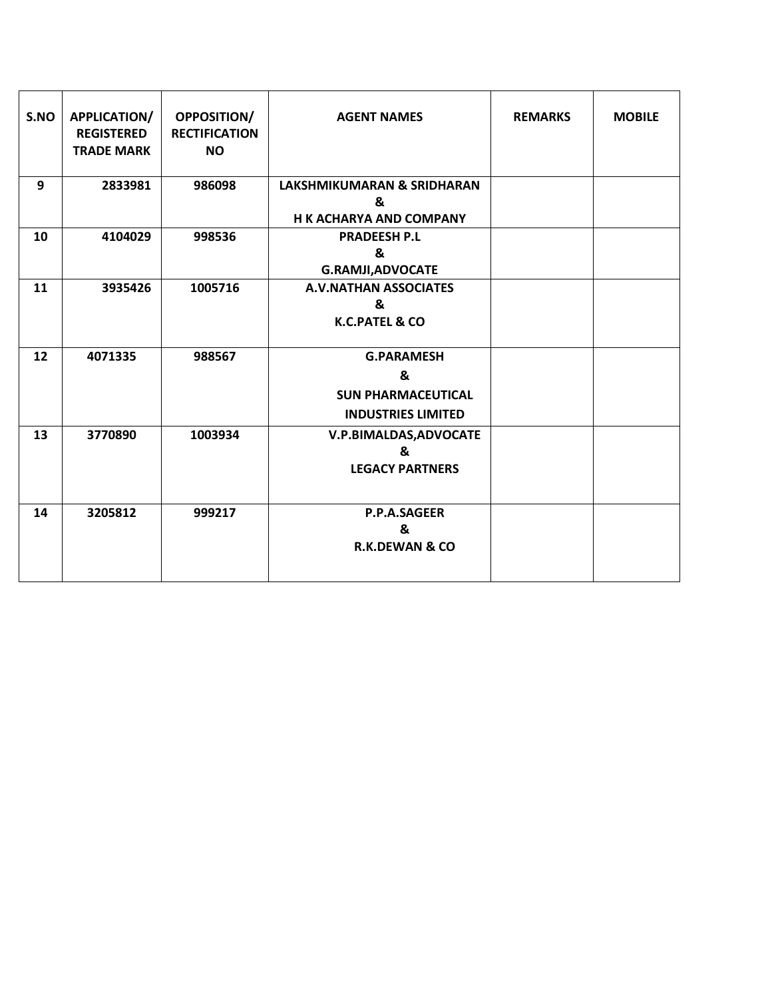| S.NO | <b>APPLICATION/</b><br><b>REGISTERED</b><br><b>TRADE MARK</b> | <b>OPPOSITION/</b><br><b>RECTIFICATION</b><br><b>NO</b> | <b>AGENT NAMES</b>                                                               | <b>REMARKS</b> | <b>MOBILE</b> |
|------|---------------------------------------------------------------|---------------------------------------------------------|----------------------------------------------------------------------------------|----------------|---------------|
| 9    | 2833981                                                       | 986098                                                  | <b>LAKSHMIKUMARAN &amp; SRIDHARAN</b><br>&<br><b>H K ACHARYA AND COMPANY</b>     |                |               |
| 10   | 4104029                                                       | 998536                                                  | <b>PRADEESH P.L</b><br>&<br><b>G.RAMJI, ADVOCATE</b>                             |                |               |
| 11   | 3935426                                                       | 1005716                                                 | <b>A.V.NATHAN ASSOCIATES</b><br>&<br><b>K.C.PATEL &amp; CO</b>                   |                |               |
| 12   | 4071335                                                       | 988567                                                  | <b>G.PARAMESH</b><br>&<br><b>SUN PHARMACEUTICAL</b><br><b>INDUSTRIES LIMITED</b> |                |               |
| 13   | 3770890                                                       | 1003934                                                 | V.P.BIMALDAS, ADVOCATE<br>&<br><b>LEGACY PARTNERS</b>                            |                |               |
| 14   | 3205812                                                       | 999217                                                  | <b>P.P.A.SAGEER</b><br>&<br><b>R.K.DEWAN &amp; CO</b>                            |                |               |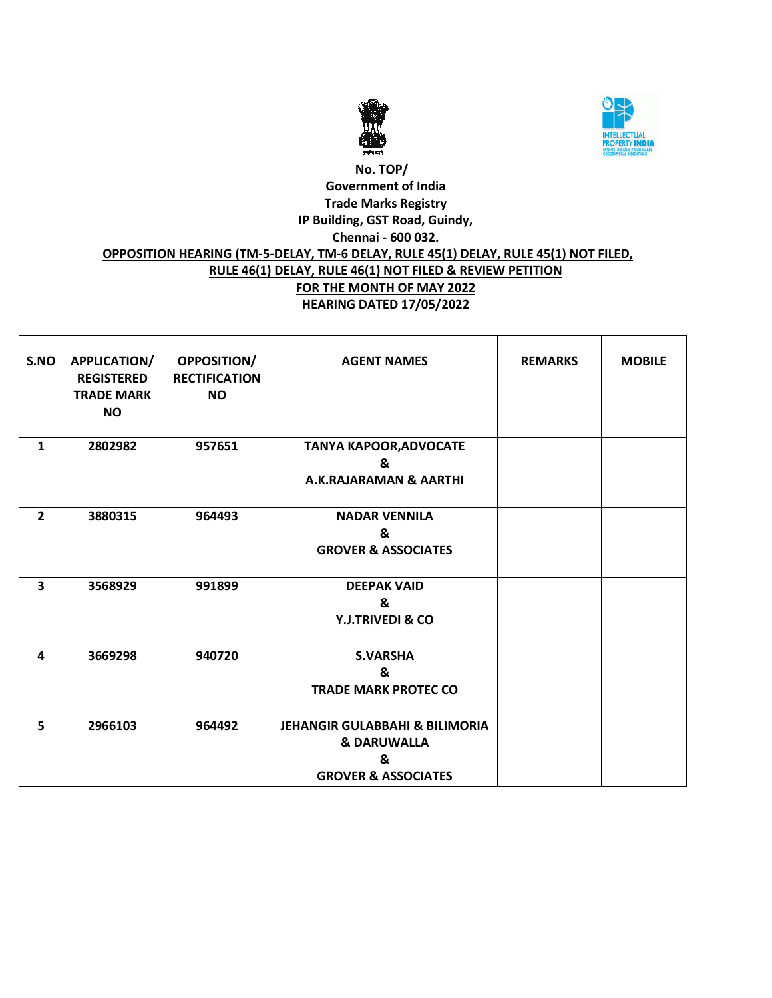



## **No. TOP/ Government of India Trade Marks Registry IP Building, GST Road, Guindy, Chennai - 600 032. OPPOSITION HEARING (TM-5-DELAY, TM-6 DELAY, RULE 45(1) DELAY, RULE 45(1) NOT FILED, RULE 46(1) DELAY, RULE 46(1) NOT FILED & REVIEW PETITION FOR THE MONTH OF MAY 2022 HEARING DATED 17/05/2022**

| S.NO                    | APPLICATION/<br><b>REGISTERED</b><br><b>TRADE MARK</b><br><b>NO</b> | OPPOSITION/<br><b>RECTIFICATION</b><br><b>NO</b> | <b>AGENT NAMES</b>                                                                                         | <b>REMARKS</b> | <b>MOBILE</b> |
|-------------------------|---------------------------------------------------------------------|--------------------------------------------------|------------------------------------------------------------------------------------------------------------|----------------|---------------|
| $\mathbf{1}$            | 2802982                                                             | 957651                                           | <b>TANYA KAPOOR, ADVOCATE</b><br>&<br><b>A.K.RAJARAMAN &amp; AARTHI</b>                                    |                |               |
| $\overline{2}$          | 3880315                                                             | 964493                                           | <b>NADAR VENNILA</b><br>&<br><b>GROVER &amp; ASSOCIATES</b>                                                |                |               |
| $\overline{\mathbf{3}}$ | 3568929                                                             | 991899                                           | <b>DEEPAK VAID</b><br>&<br><b>Y.J.TRIVEDI &amp; CO</b>                                                     |                |               |
| 4                       | 3669298                                                             | 940720                                           | <b>S.VARSHA</b><br>&<br><b>TRADE MARK PROTEC CO</b>                                                        |                |               |
| 5                       | 2966103                                                             | 964492                                           | <b>JEHANGIR GULABBAHI &amp; BILIMORIA</b><br><b>&amp; DARUWALLA</b><br>&<br><b>GROVER &amp; ASSOCIATES</b> |                |               |